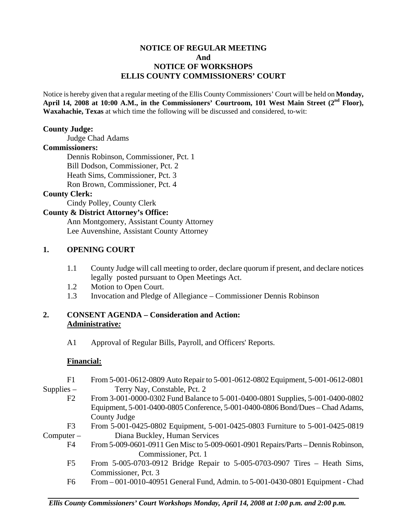## **NOTICE OF REGULAR MEETING And NOTICE OF WORKSHOPS ELLIS COUNTY COMMISSIONERS' COURT**

Notice is hereby given that a regular meeting of the Ellis County Commissioners' Court will be held on **Monday, April 14, 2008 at 10:00 A.M., in the Commissioners' Courtroom, 101 West Main Street (2nd Floor), Waxahachie, Texas** at which time the following will be discussed and considered, to-wit:

#### **County Judge:**

Judge Chad Adams

## **Commissioners:**

 Dennis Robinson, Commissioner, Pct. 1 Bill Dodson, Commissioner, Pct. 2 Heath Sims, Commissioner, Pct. 3 Ron Brown, Commissioner, Pct. 4

## **County Clerk:**

Cindy Polley, County Clerk

#### **County & District Attorney's Office:**

 Ann Montgomery, Assistant County Attorney Lee Auvenshine, Assistant County Attorney

#### **1. OPENING COURT**

- 1.1 County Judge will call meeting to order, declare quorum if present, and declare notices legally posted pursuant to Open Meetings Act.
- 1.2 Motion to Open Court.
- 1.3 Invocation and Pledge of Allegiance Commissioner Dennis Robinson

## **2. CONSENT AGENDA – Consideration and Action: Administrative***:*

A1 Approval of Regular Bills, Payroll, and Officers' Reports.

#### **Financial:**

F6 From – 001-0010-40951 General Fund, Admin. to 5-001-0430-0801 Equipment - Chad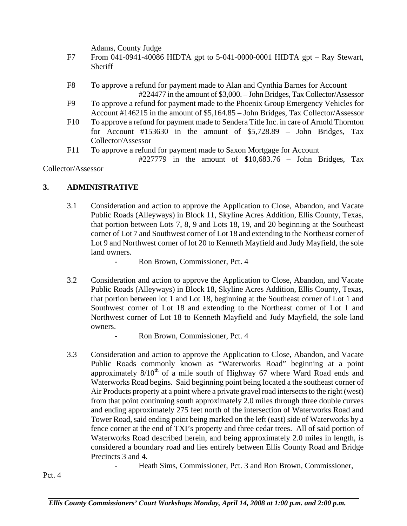Adams, County Judge

- F7 From 041-0941-40086 HIDTA gpt to 5-041-0000-0001 HIDTA gpt Ray Stewart, **Sheriff**
- F8 To approve a refund for payment made to Alan and Cynthia Barnes for Account #224477 in the amount of \$3,000. – John Bridges, Tax Collector/Assessor
- F9 To approve a refund for payment made to the Phoenix Group Emergency Vehicles for Account #146215 in the amount of \$5,164.85 – John Bridges, Tax Collector/Assessor
- F10 To approve a refund for payment made to Sendera Title Inc. in care of Arnold Thornton for Account #153630 in the amount of \$5,728.89 – John Bridges, Tax Collector/Assessor
- F11 To approve a refund for payment made to Saxon Mortgage for Account
	- #227779 in the amount of \$10,683.76 John Bridges, Tax

Collector/Assessor

## **3. ADMINISTRATIVE**

- 3.1 Consideration and action to approve the Application to Close, Abandon, and Vacate Public Roads (Alleyways) in Block 11, Skyline Acres Addition, Ellis County, Texas, that portion between Lots 7, 8, 9 and Lots 18, 19, and 20 beginning at the Southeast corner of Lot 7 and Southwest corner of Lot 18 and extending to the Northeast corner of Lot 9 and Northwest corner of lot 20 to Kenneth Mayfield and Judy Mayfield, the sole land owners.
	- Ron Brown, Commissioner, Pct. 4
- 3.2 Consideration and action to approve the Application to Close, Abandon, and Vacate Public Roads (Alleyways) in Block 18, Skyline Acres Addition, Ellis County, Texas, that portion between lot 1 and Lot 18, beginning at the Southeast corner of Lot 1 and Southwest corner of Lot 18 and extending to the Northeast corner of Lot 1 and Northwest corner of Lot 18 to Kenneth Mayfield and Judy Mayfield, the sole land owners.
	- Ron Brown, Commissioner, Pct. 4
- 3.3 Consideration and action to approve the Application to Close, Abandon, and Vacate Public Roads commonly known as "Waterworks Road" beginning at a point approximately  $8/10^{th}$  of a mile south of Highway 67 where Ward Road ends and Waterworks Road begins. Said beginning point being located a the southeast corner of Air Products property at a point where a private gravel road intersects to the right (west) from that point continuing south approximately 2.0 miles through three double curves and ending approximately 275 feet north of the intersection of Waterworks Road and Tower Road, said ending point being marked on the left (east) side of Waterworks by a fence corner at the end of TXI's property and three cedar trees. All of said portion of Waterworks Road described herein, and being approximately 2.0 miles in length, is considered a boundary road and lies entirely between Ellis County Road and Bridge Precincts 3 and 4.
	- Heath Sims, Commissioner, Pct. 3 and Ron Brown, Commissioner,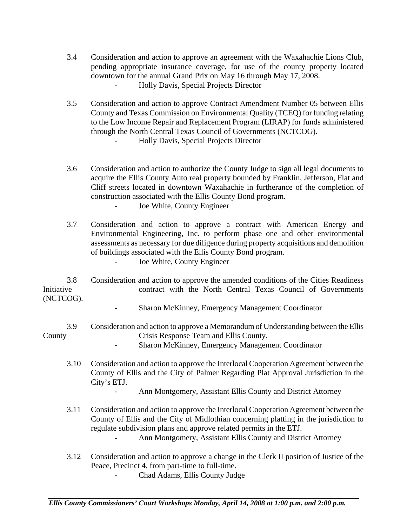- 3.4 Consideration and action to approve an agreement with the Waxahachie Lions Club, pending appropriate insurance coverage, for use of the county property located downtown for the annual Grand Prix on May 16 through May 17, 2008. - Holly Davis, Special Projects Director
- 3.5 Consideration and action to approve Contract Amendment Number 05 between Ellis County and Texas Commission on Environmental Quality (TCEQ) for funding relating to the Low Income Repair and Replacement Program (LIRAP) for funds administered through the North Central Texas Council of Governments (NCTCOG). - Holly Davis, Special Projects Director
	-
- 3.6 Consideration and action to authorize the County Judge to sign all legal documents to acquire the Ellis County Auto real property bounded by Franklin, Jefferson, Flat and Cliff streets located in downtown Waxahachie in furtherance of the completion of construction associated with the Ellis County Bond program. Joe White, County Engineer
- 3.7 Consideration and action to approve a contract with American Energy and Environmental Engineering, Inc. to perform phase one and other environmental assessments as necessary for due diligence during property acquisitions and demolition of buildings associated with the Ellis County Bond program. - Joe White, County Engineer

 3.8 Consideration and action to approve the amended conditions of the Cities Readiness Initiative contract with the North Central Texas Council of Governments (NCTCOG).

- Sharon McKinney, Emergency Management Coordinator
- 3.9 Consideration and action to approve a Memorandum of Understanding between the Ellis County Crisis Response Team and Ellis County.
	- Sharon McKinney, Emergency Management Coordinator
	- 3.10 Consideration and action to approve the Interlocal Cooperation Agreement between the County of Ellis and the City of Palmer Regarding Plat Approval Jurisdiction in the City's ETJ.
		- Ann Montgomery, Assistant Ellis County and District Attorney
	- 3.11 Consideration and action to approve the Interlocal Cooperation Agreement between the County of Ellis and the City of Midlothian concerning platting in the jurisdiction to regulate subdivision plans and approve related permits in the ETJ.
		- Ann Montgomery, Assistant Ellis County and District Attorney
	- 3.12 Consideration and action to approve a change in the Clerk II position of Justice of the Peace, Precinct 4, from part-time to full-time.
		- Chad Adams, Ellis County Judge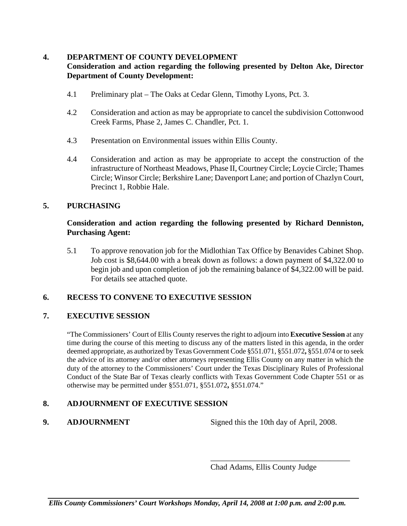## **4. DEPARTMENT OF COUNTY DEVELOPMENT**

## **Consideration and action regarding the following presented by Delton Ake, Director Department of County Development:**

- 4.1 Preliminary plat The Oaks at Cedar Glenn, Timothy Lyons, Pct. 3.
- 4.2 Consideration and action as may be appropriate to cancel the subdivision Cottonwood Creek Farms, Phase 2, James C. Chandler, Pct. 1.
- 4.3 Presentation on Environmental issues within Ellis County.
- 4.4 Consideration and action as may be appropriate to accept the construction of the infrastructure of Northeast Meadows, Phase II, Courtney Circle; Loycie Circle; Thames Circle; Winsor Circle; Berkshire Lane; Davenport Lane; and portion of Chazlyn Court, Precinct 1, Robbie Hale.

## **5. PURCHASING**

#### **Consideration and action regarding the following presented by Richard Denniston, Purchasing Agent:**

5.1 To approve renovation job for the Midlothian Tax Office by Benavides Cabinet Shop. Job cost is \$8,644.00 with a break down as follows: a down payment of \$4,322.00 to begin job and upon completion of job the remaining balance of \$4,322.00 will be paid. For details see attached quote.

## **6. RECESS TO CONVENE TO EXECUTIVE SESSION**

## **7. EXECUTIVE SESSION**

"The Commissioners' Court of Ellis County reserves the right to adjourn into **Executive Session** at any time during the course of this meeting to discuss any of the matters listed in this agenda, in the order deemed appropriate, as authorized by Texas Government Code §551.071, §551.072**,** §551.074 or to seek the advice of its attorney and/or other attorneys representing Ellis County on any matter in which the duty of the attorney to the Commissioners' Court under the Texas Disciplinary Rules of Professional Conduct of the State Bar of Texas clearly conflicts with Texas Government Code Chapter 551 or as otherwise may be permitted under §551.071, §551.072**,** §551.074."

## **8. ADJOURNMENT OF EXECUTIVE SESSION**

**9.** ADJOURNMENT Signed this the 10th day of April, 2008.

\_\_\_\_\_\_\_\_\_\_\_\_\_\_\_\_\_\_\_\_\_\_\_\_\_\_\_\_\_\_\_\_\_\_\_

Chad Adams, Ellis County Judge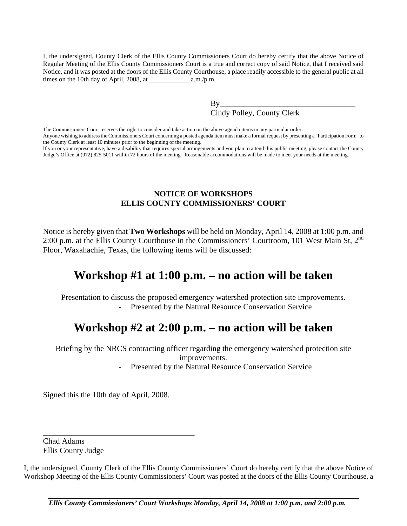I, the undersigned, County Clerk of the Ellis County Commissioners Court do hereby certify that the above Notice of Regular Meeting of the Ellis County Commissioners Court is a true and correct copy of said Notice, that I received said Notice, and it was posted at the doors of the Ellis County Courthouse, a place readily accessible to the general public at all times on the 10th day of April, 2008, at \_\_\_\_\_\_\_\_\_\_\_\_ a.m./p.m.

> $Bv$ Cindy Polley, County Clerk

The Commissioners Court reserves the right to consider and take action on the above agenda items in any particular order. Anyone wishing to address the Commissioners Court concerning a posted agenda item must make a formal request by presenting a "Participation Form" to the County Clerk at least 10 minutes prior to the beginning of the meeting.

If you or your representative, have a disability that requires special arrangements and you plan to attend this public meeting, please contact the County Judge's Office at (972) 825-5011 within 72 hours of the meeting. Reasonable accommodations will be made to meet your needs at the meeting.

## **NOTICE OF WORKSHOPS ELLIS COUNTY COMMISSIONERS' COURT**

Notice is hereby given that **Two Workshops** will be held on Monday, April 14, 2008 at 1:00 p.m. and 2:00 p.m. at the Ellis County Courthouse in the Commissioners' Courtroom, 101 West Main St,  $2^{nd}$ Floor, Waxahachie, Texas, the following items will be discussed:

# **Workshop #1 at 1:00 p.m. – no action will be taken**

Presentation to discuss the proposed emergency watershed protection site improvements. - Presented by the Natural Resource Conservation Service

# **Workshop #2 at 2:00 p.m. – no action will be taken**

Briefing by the NRCS contracting officer regarding the emergency watershed protection site improvements.

Presented by the Natural Resource Conservation Service

Signed this the 10th day of April, 2008.

\_\_\_\_\_\_\_\_\_\_\_\_\_\_\_\_\_\_\_\_\_\_\_\_\_\_\_\_\_\_\_\_\_\_\_\_\_\_

Chad Adams Ellis County Judge

I, the undersigned, County Clerk of the Ellis County Commissioners' Court do hereby certify that the above Notice of Workshop Meeting of the Ellis County Commissioners' Court was posted at the doors of the Ellis County Courthouse, a